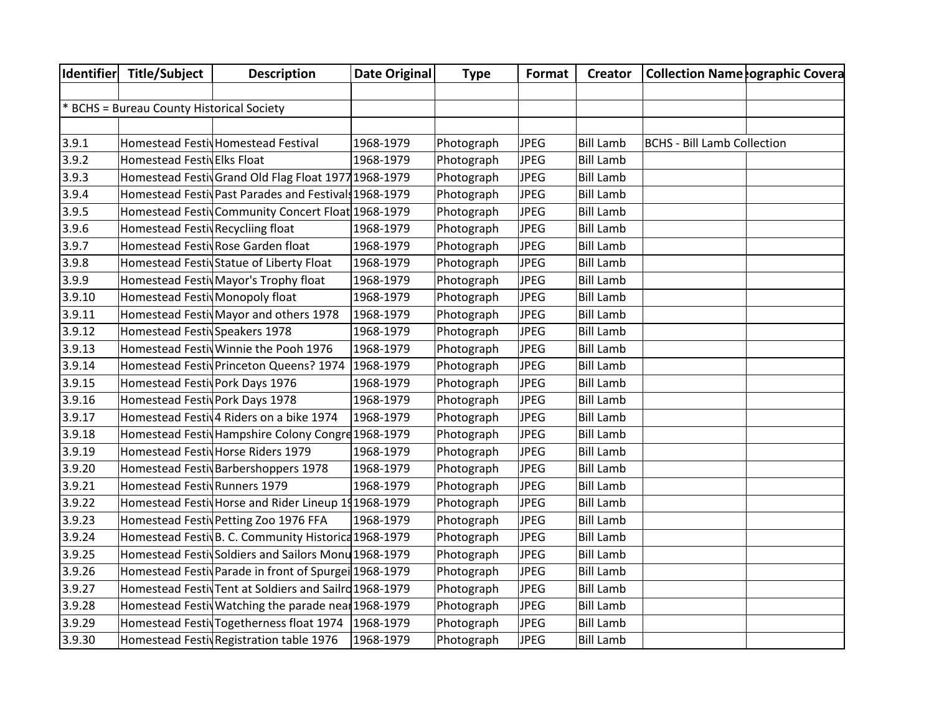|        | Identifier Title/Subject                  | <b>Description</b>                                     | Date Original | <b>Type</b> | Format      | <b>Creator</b>   | <b>Collection Name ographic Covera</b> |  |
|--------|-------------------------------------------|--------------------------------------------------------|---------------|-------------|-------------|------------------|----------------------------------------|--|
|        |                                           |                                                        |               |             |             |                  |                                        |  |
|        | * BCHS = Bureau County Historical Society |                                                        |               |             |             |                  |                                        |  |
|        |                                           |                                                        |               |             |             |                  |                                        |  |
| 3.9.1  |                                           | Homestead Festiv Homestead Festival                    | 1968-1979     | Photograph  | <b>JPEG</b> | <b>Bill Lamb</b> | <b>BCHS - Bill Lamb Collection</b>     |  |
| 3.9.2  | Homestead Festiv Elks Float               |                                                        | 1968-1979     | Photograph  | <b>JPEG</b> | <b>Bill Lamb</b> |                                        |  |
| 3.9.3  |                                           | Homestead Festiv Grand Old Flag Float 1977 1968-1979   |               | Photograph  | <b>JPEG</b> | <b>Bill Lamb</b> |                                        |  |
| 3.9.4  |                                           | Homestead Festiv Past Parades and Festivals 1968-1979  |               | Photograph  | <b>JPEG</b> | <b>Bill Lamb</b> |                                        |  |
| 3.9.5  |                                           | Homestead Festiv Community Concert Float 1968-1979     |               | Photograph  | <b>JPEG</b> | <b>Bill Lamb</b> |                                        |  |
| 3.9.6  | Homestead Festiv Recycliing float         |                                                        | 1968-1979     | Photograph  | <b>JPEG</b> | <b>Bill Lamb</b> |                                        |  |
| 3.9.7  |                                           | Homestead Festiv Rose Garden float                     | 1968-1979     | Photograph  | <b>JPEG</b> | <b>Bill Lamb</b> |                                        |  |
| 3.9.8  |                                           | Homestead Festiv Statue of Liberty Float               | 1968-1979     | Photograph  | <b>JPEG</b> | <b>Bill Lamb</b> |                                        |  |
| 3.9.9  |                                           | Homestead Festiv Mayor's Trophy float                  | 1968-1979     | Photograph  | <b>JPEG</b> | <b>Bill Lamb</b> |                                        |  |
| 3.9.10 | Homestead Festiv Monopoly float           |                                                        | 1968-1979     | Photograph  | <b>JPEG</b> | <b>Bill Lamb</b> |                                        |  |
| 3.9.11 |                                           | Homestead Festiv Mayor and others 1978                 | 1968-1979     | Photograph  | <b>JPEG</b> | <b>Bill Lamb</b> |                                        |  |
| 3.9.12 | Homestead Festiv Speakers 1978            |                                                        | 1968-1979     | Photograph  | <b>JPEG</b> | <b>Bill Lamb</b> |                                        |  |
| 3.9.13 |                                           | Homestead Festiv Winnie the Pooh 1976                  | 1968-1979     | Photograph  | <b>JPEG</b> | <b>Bill Lamb</b> |                                        |  |
| 3.9.14 |                                           | Homestead Festiv Princeton Queens? 1974   1968-1979    |               | Photograph  | <b>JPEG</b> | <b>Bill Lamb</b> |                                        |  |
| 3.9.15 | Homestead Festiv Pork Days 1976           |                                                        | 1968-1979     | Photograph  | <b>JPEG</b> | <b>Bill Lamb</b> |                                        |  |
| 3.9.16 | Homestead Festiv Pork Days 1978           |                                                        | 1968-1979     | Photograph  | <b>JPEG</b> | <b>Bill Lamb</b> |                                        |  |
| 3.9.17 |                                           | Homestead Festiv4 Riders on a bike 1974                | 1968-1979     | Photograph  | <b>JPEG</b> | <b>Bill Lamb</b> |                                        |  |
| 3.9.18 |                                           | Homestead Festiv Hampshire Colony Congre 1968-1979     |               | Photograph  | <b>JPEG</b> | <b>Bill Lamb</b> |                                        |  |
| 3.9.19 |                                           | Homestead Festiv Horse Riders 1979                     | 1968-1979     | Photograph  | <b>JPEG</b> | <b>Bill Lamb</b> |                                        |  |
| 3.9.20 |                                           | Homestead Festiv Barbershoppers 1978                   | 1968-1979     | Photograph  | <b>JPEG</b> | <b>Bill Lamb</b> |                                        |  |
| 3.9.21 | Homestead Festiv Runners 1979             |                                                        | 1968-1979     | Photograph  | <b>JPEG</b> | <b>Bill Lamb</b> |                                        |  |
| 3.9.22 |                                           | Homestead Festiv Horse and Rider Lineup 191968-1979    |               | Photograph  | <b>JPEG</b> | <b>Bill Lamb</b> |                                        |  |
| 3.9.23 |                                           | Homestead Festiv Petting Zoo 1976 FFA                  | 1968-1979     | Photograph  | <b>JPEG</b> | <b>Bill Lamb</b> |                                        |  |
| 3.9.24 |                                           | Homestead Festiv B. C. Community Historica 1968-1979   |               | Photograph  | <b>JPEG</b> | <b>Bill Lamb</b> |                                        |  |
| 3.9.25 |                                           | Homestead Festiv Soldiers and Sailors Monu 1968-1979   |               | Photograph  | <b>JPEG</b> | <b>Bill Lamb</b> |                                        |  |
| 3.9.26 |                                           | Homestead Festiv Parade in front of Spurgei 1968-1979  |               | Photograph  | <b>JPEG</b> | <b>Bill Lamb</b> |                                        |  |
| 3.9.27 |                                           | Homestead Festiv Tent at Soldiers and Sailrd 1968-1979 |               | Photograph  | <b>JPEG</b> | <b>Bill Lamb</b> |                                        |  |
| 3.9.28 |                                           | Homestead Festiv Watching the parade near 1968-1979    |               | Photograph  | <b>JPEG</b> | <b>Bill Lamb</b> |                                        |  |
| 3.9.29 |                                           | Homestead Festiv Togetherness float 1974   1968-1979   |               | Photograph  | <b>JPEG</b> | <b>Bill Lamb</b> |                                        |  |
| 3.9.30 |                                           | Homestead Festiv Registration table 1976               | 1968-1979     | Photograph  | <b>JPEG</b> | <b>Bill Lamb</b> |                                        |  |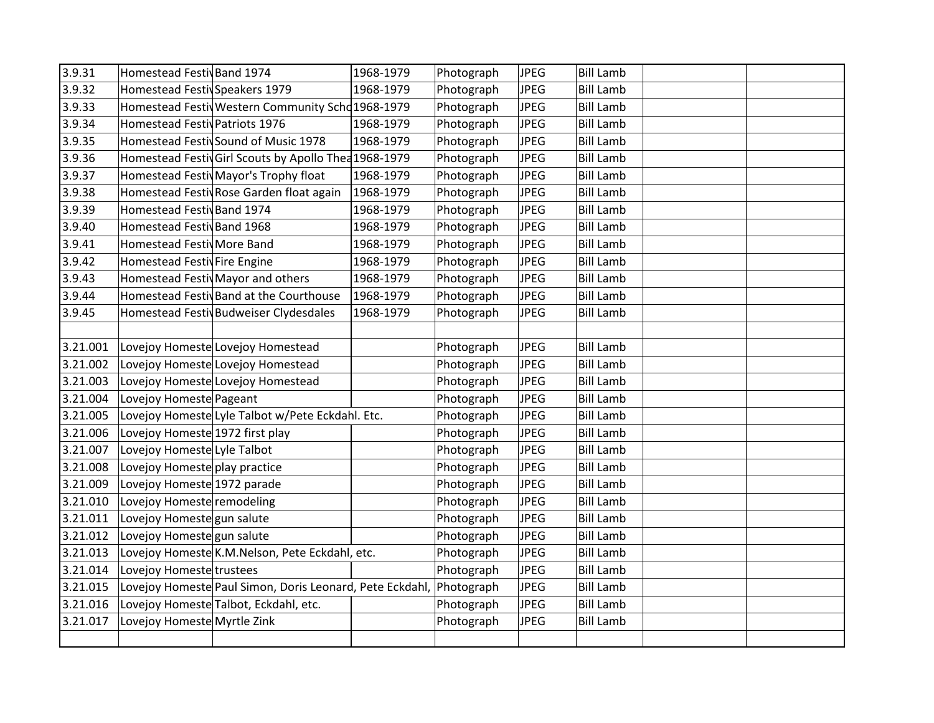| 3.9.31<br>3.9.32 | Homestead Festiv Band 1974<br>Homestead Festiv Speakers 1979 | 1968-1979 | Photograph | <b>JPEG</b> | <b>Bill Lamb</b> |  |
|------------------|--------------------------------------------------------------|-----------|------------|-------------|------------------|--|
|                  |                                                              |           |            |             |                  |  |
|                  |                                                              | 1968-1979 | Photograph | <b>JPEG</b> | <b>Bill Lamb</b> |  |
| 3.9.33           | Homestead Festiv Western Community Scho 1968-1979            |           | Photograph | <b>JPEG</b> | <b>Bill Lamb</b> |  |
| 3.9.34           | Homestead Festiv Patriots 1976                               | 1968-1979 | Photograph | <b>JPEG</b> | <b>Bill Lamb</b> |  |
| 3.9.35           | Homestead Festiv Sound of Music 1978                         | 1968-1979 | Photograph | <b>JPEG</b> | <b>Bill Lamb</b> |  |
| 3.9.36           | Homestead Festiv Girl Scouts by Apollo Thea 1968-1979        |           | Photograph | <b>JPEG</b> | <b>Bill Lamb</b> |  |
| 3.9.37           | Homestead Festiv Mayor's Trophy float                        | 1968-1979 | Photograph | <b>JPEG</b> | <b>Bill Lamb</b> |  |
| 3.9.38           | Homestead Festiv Rose Garden float again                     | 1968-1979 | Photograph | <b>JPEG</b> | <b>Bill Lamb</b> |  |
| 3.9.39           | Homestead Festiv Band 1974                                   | 1968-1979 | Photograph | JPEG        | <b>Bill Lamb</b> |  |
| 3.9.40           | Homestead Festiv Band 1968                                   | 1968-1979 | Photograph | <b>JPEG</b> | <b>Bill Lamb</b> |  |
| 3.9.41           | Homestead Festiv More Band                                   | 1968-1979 | Photograph | <b>JPEG</b> | <b>Bill Lamb</b> |  |
| 3.9.42           | Homestead Festiv Fire Engine                                 | 1968-1979 | Photograph | <b>JPEG</b> | <b>Bill Lamb</b> |  |
| 3.9.43           | Homestead Festiv Mayor and others                            | 1968-1979 | Photograph | <b>JPEG</b> | <b>Bill Lamb</b> |  |
| 3.9.44           | Homestead Festiv Band at the Courthouse                      | 1968-1979 | Photograph | JPEG        | <b>Bill Lamb</b> |  |
| 3.9.45           | Homestead Festiv Budweiser Clydesdales                       | 1968-1979 | Photograph | <b>JPEG</b> | <b>Bill Lamb</b> |  |
|                  |                                                              |           |            |             |                  |  |
| 3.21.001         | Lovejoy Homeste Lovejoy Homestead                            |           | Photograph | <b>JPEG</b> | <b>Bill Lamb</b> |  |
| 3.21.002         | Lovejoy Homeste Lovejoy Homestead                            |           | Photograph | <b>JPEG</b> | <b>Bill Lamb</b> |  |
| 3.21.003         | Lovejoy Homeste Lovejoy Homestead                            |           | Photograph | JPEG        | <b>Bill Lamb</b> |  |
| 3.21.004         | Lovejoy Homeste Pageant                                      |           | Photograph | <b>JPEG</b> | <b>Bill Lamb</b> |  |
| 3.21.005         | Lovejoy Homeste Lyle Talbot w/Pete Eckdahl. Etc.             |           | Photograph | <b>JPEG</b> | <b>Bill Lamb</b> |  |
| 3.21.006         | Lovejoy Homeste 1972 first play                              |           | Photograph | <b>JPEG</b> | <b>Bill Lamb</b> |  |
| 3.21.007         | Lovejoy Homeste Lyle Talbot                                  |           | Photograph | <b>JPEG</b> | <b>Bill Lamb</b> |  |
| 3.21.008         | Lovejoy Homeste play practice                                |           | Photograph | <b>JPEG</b> | <b>Bill Lamb</b> |  |
| 3.21.009         | Lovejoy Homeste 1972 parade                                  |           | Photograph | <b>JPEG</b> | <b>Bill Lamb</b> |  |
| 3.21.010         | Lovejoy Homeste remodeling                                   |           | Photograph | <b>JPEG</b> | <b>Bill Lamb</b> |  |
| 3.21.011         | Lovejoy Homeste gun salute                                   |           | Photograph | <b>JPEG</b> | <b>Bill Lamb</b> |  |
| 3.21.012         | Lovejoy Homeste gun salute                                   |           | Photograph | <b>JPEG</b> | <b>Bill Lamb</b> |  |
| 3.21.013         | Lovejoy Homeste K.M.Nelson, Pete Eckdahl, etc.               |           | Photograph | JPEG        | <b>Bill Lamb</b> |  |
| 3.21.014         | Lovejoy Homeste trustees                                     |           | Photograph | <b>JPEG</b> | <b>Bill Lamb</b> |  |
| 3.21.015         | Lovejoy Homeste Paul Simon, Doris Leonard, Pete Eckdahl,     |           | Photograph | <b>JPEG</b> | <b>Bill Lamb</b> |  |
| 3.21.016         | Lovejoy Homeste Talbot, Eckdahl, etc.                        |           | Photograph | JPEG        | <b>Bill Lamb</b> |  |
| 3.21.017         | Lovejoy Homeste Myrtle Zink                                  |           | Photograph | <b>JPEG</b> | <b>Bill Lamb</b> |  |
|                  |                                                              |           |            |             |                  |  |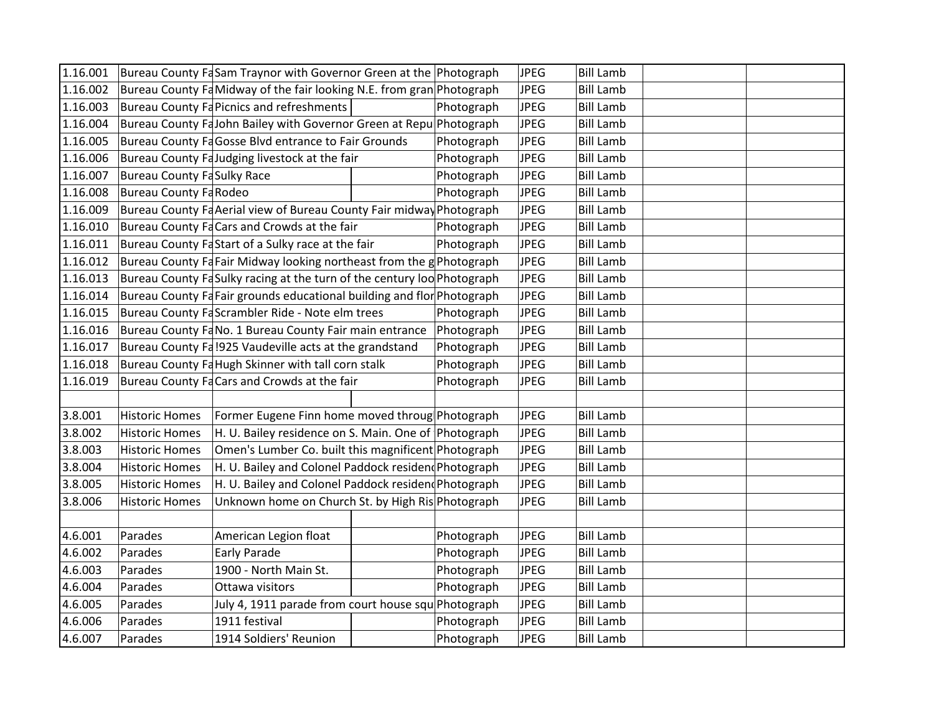| 1.16.001 |                                                    | Bureau County FaSam Traynor with Governor Green at the Photograph       |  |            | <b>JPEG</b> | <b>Bill Lamb</b> |  |
|----------|----------------------------------------------------|-------------------------------------------------------------------------|--|------------|-------------|------------------|--|
| 1.16.002 |                                                    | Bureau County Fa Midway of the fair looking N.E. from gran Photograph   |  |            | <b>JPEG</b> | <b>Bill Lamb</b> |  |
| 1.16.003 |                                                    | Bureau County Fa Picnics and refreshments                               |  | Photograph | <b>JPEG</b> | <b>Bill Lamb</b> |  |
| 1.16.004 |                                                    | Bureau County FaJohn Bailey with Governor Green at Repu Photograph      |  |            | JPEG        | <b>Bill Lamb</b> |  |
| 1.16.005 |                                                    | Bureau County Fa Gosse Blvd entrance to Fair Grounds                    |  | Photograph | JPEG        | <b>Bill Lamb</b> |  |
| 1.16.006 |                                                    | Bureau County FaJudging livestock at the fair                           |  | Photograph | <b>JPEG</b> | <b>Bill Lamb</b> |  |
| 1.16.007 | <b>Bureau County FaSulky Race</b>                  |                                                                         |  | Photograph | <b>JPEG</b> | <b>Bill Lamb</b> |  |
| 1.16.008 | Bureau County FaRodeo                              |                                                                         |  | Photograph | <b>JPEG</b> | <b>Bill Lamb</b> |  |
| 1.16.009 |                                                    | Bureau County Fa Aerial view of Bureau County Fair midway Photograph    |  |            | <b>JPEG</b> | <b>Bill Lamb</b> |  |
| 1.16.010 |                                                    | Bureau County Fa Cars and Crowds at the fair                            |  | Photograph | <b>JPEG</b> | <b>Bill Lamb</b> |  |
| 1.16.011 |                                                    | Bureau County FaStart of a Sulky race at the fair                       |  | Photograph | <b>JPEG</b> | <b>Bill Lamb</b> |  |
| 1.16.012 |                                                    | Bureau County Fa Fair Midway looking northeast from the g Photograph    |  |            | <b>JPEG</b> | <b>Bill Lamb</b> |  |
| 1.16.013 |                                                    | Bureau County Fa Sulky racing at the turn of the century loo Photograph |  |            | <b>JPEG</b> | <b>Bill Lamb</b> |  |
| 1.16.014 |                                                    | Bureau County Fa Fair grounds educational building and flor Photograph  |  |            | <b>JPEG</b> | <b>Bill Lamb</b> |  |
| 1.16.015 |                                                    | Bureau County FaScrambler Ride - Note elm trees                         |  | Photograph | <b>JPEG</b> | <b>Bill Lamb</b> |  |
| 1.16.016 |                                                    | Bureau County FaNo. 1 Bureau County Fair main entrance                  |  | Photograph | <b>JPEG</b> | <b>Bill Lamb</b> |  |
| 1.16.017 |                                                    | Bureau County Fa !925 Vaudeville acts at the grandstand                 |  | Photograph | <b>JPEG</b> | <b>Bill Lamb</b> |  |
| 1.16.018 | Bureau County Fa Hugh Skinner with tall corn stalk |                                                                         |  | Photograph | <b>JPEG</b> | <b>Bill Lamb</b> |  |
| 1.16.019 |                                                    | Bureau County Fa Cars and Crowds at the fair                            |  | Photograph | <b>JPEG</b> | <b>Bill Lamb</b> |  |
|          |                                                    |                                                                         |  |            |             |                  |  |
| 3.8.001  | <b>Historic Homes</b>                              | Former Eugene Finn home moved throug Photograph                         |  |            | <b>JPEG</b> | <b>Bill Lamb</b> |  |
| 3.8.002  | <b>Historic Homes</b>                              | H. U. Bailey residence on S. Main. One of Photograph                    |  |            | <b>JPEG</b> | <b>Bill Lamb</b> |  |
| 3.8.003  | <b>Historic Homes</b>                              | Omen's Lumber Co. built this magnificent Photograph                     |  |            | <b>JPEG</b> | <b>Bill Lamb</b> |  |
| 3.8.004  | <b>Historic Homes</b>                              | H. U. Bailey and Colonel Paddock residen Photograph                     |  |            | <b>JPEG</b> | <b>Bill Lamb</b> |  |
| 3.8.005  | <b>Historic Homes</b>                              | H. U. Bailey and Colonel Paddock residen Photograph                     |  |            | <b>JPEG</b> | <b>Bill Lamb</b> |  |
| 3.8.006  | <b>Historic Homes</b>                              | Unknown home on Church St. by High Ris Photograph                       |  |            | <b>JPEG</b> | <b>Bill Lamb</b> |  |
|          |                                                    |                                                                         |  |            |             |                  |  |
| 4.6.001  | Parades                                            | American Legion float                                                   |  | Photograph | <b>JPEG</b> | <b>Bill Lamb</b> |  |
| 4.6.002  | Parades                                            | Early Parade                                                            |  | Photograph | <b>JPEG</b> | <b>Bill Lamb</b> |  |
| 4.6.003  | Parades                                            | 1900 - North Main St.                                                   |  | Photograph | <b>JPEG</b> | <b>Bill Lamb</b> |  |
| 4.6.004  | Parades                                            | Ottawa visitors                                                         |  | Photograph | <b>JPEG</b> | <b>Bill Lamb</b> |  |
| 4.6.005  | Parades                                            | July 4, 1911 parade from court house squ Photograph                     |  |            | <b>JPEG</b> | <b>Bill Lamb</b> |  |
| 4.6.006  | Parades                                            | 1911 festival                                                           |  | Photograph | <b>JPEG</b> | <b>Bill Lamb</b> |  |
| 4.6.007  | Parades                                            | 1914 Soldiers' Reunion                                                  |  | Photograph | <b>JPEG</b> | <b>Bill Lamb</b> |  |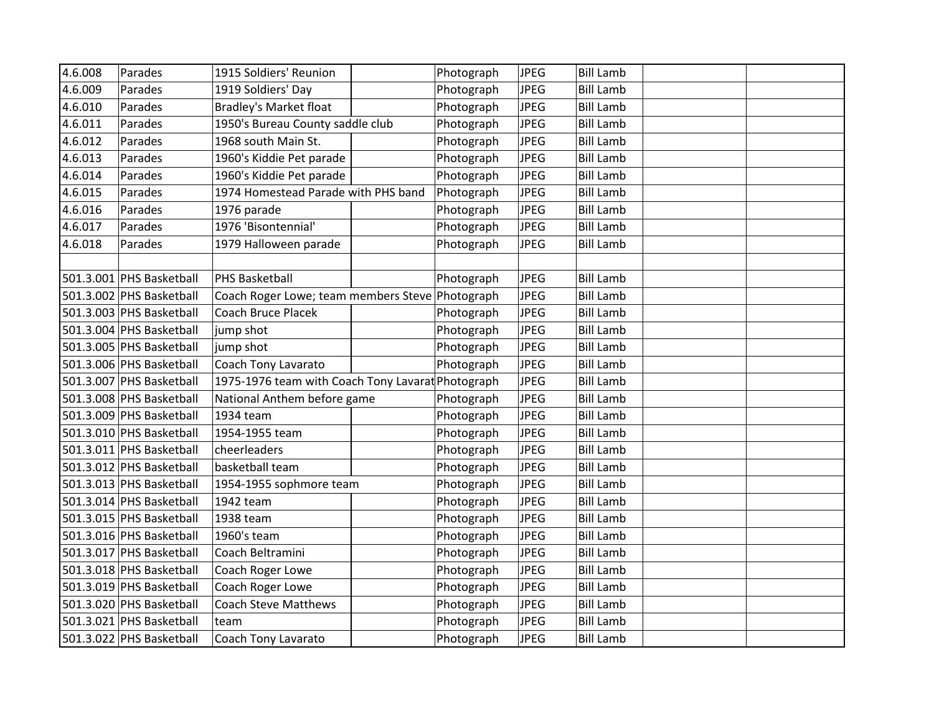| 4.6.008 | Parades                  | 1915 Soldiers' Reunion                            | Photograph | <b>JPEG</b> | <b>Bill Lamb</b> |  |
|---------|--------------------------|---------------------------------------------------|------------|-------------|------------------|--|
| 4.6.009 | Parades                  | 1919 Soldiers' Day                                | Photograph | <b>JPEG</b> | <b>Bill Lamb</b> |  |
| 4.6.010 | Parades                  | <b>Bradley's Market float</b>                     | Photograph | <b>JPEG</b> | <b>Bill Lamb</b> |  |
| 4.6.011 | Parades                  | 1950's Bureau County saddle club                  | Photograph | <b>JPEG</b> | <b>Bill Lamb</b> |  |
| 4.6.012 | Parades                  | 1968 south Main St.                               | Photograph | <b>JPEG</b> | <b>Bill Lamb</b> |  |
| 4.6.013 | Parades                  | 1960's Kiddie Pet parade                          | Photograph | <b>JPEG</b> | <b>Bill Lamb</b> |  |
| 4.6.014 | Parades                  | 1960's Kiddie Pet parade                          | Photograph | <b>JPEG</b> | <b>Bill Lamb</b> |  |
| 4.6.015 | Parades                  | 1974 Homestead Parade with PHS band               | Photograph | <b>JPEG</b> | <b>Bill Lamb</b> |  |
| 4.6.016 | Parades                  | 1976 parade                                       | Photograph | <b>JPEG</b> | <b>Bill Lamb</b> |  |
| 4.6.017 | Parades                  | 1976 'Bisontennial'                               | Photograph | <b>JPEG</b> | <b>Bill Lamb</b> |  |
| 4.6.018 | Parades                  | 1979 Halloween parade                             | Photograph | <b>JPEG</b> | <b>Bill Lamb</b> |  |
|         |                          |                                                   |            |             |                  |  |
|         | 501.3.001 PHS Basketball | <b>PHS Basketball</b>                             | Photograph | <b>JPEG</b> | <b>Bill Lamb</b> |  |
|         | 501.3.002 PHS Basketball | Coach Roger Lowe; team members Steve Photograph   |            | <b>JPEG</b> | <b>Bill Lamb</b> |  |
|         | 501.3.003 PHS Basketball | <b>Coach Bruce Placek</b>                         | Photograph | <b>JPEG</b> | <b>Bill Lamb</b> |  |
|         | 501.3.004 PHS Basketball | jump shot                                         | Photograph | <b>JPEG</b> | <b>Bill Lamb</b> |  |
|         | 501.3.005 PHS Basketball | jump shot                                         | Photograph | <b>JPEG</b> | <b>Bill Lamb</b> |  |
|         | 501.3.006 PHS Basketball | Coach Tony Lavarato                               | Photograph | <b>JPEG</b> | <b>Bill Lamb</b> |  |
|         | 501.3.007 PHS Basketball | 1975-1976 team with Coach Tony Lavarat Photograph |            | <b>JPEG</b> | <b>Bill Lamb</b> |  |
|         | 501.3.008 PHS Basketball | National Anthem before game                       | Photograph | <b>JPEG</b> | <b>Bill Lamb</b> |  |
|         | 501.3.009 PHS Basketball | 1934 team                                         | Photograph | <b>JPEG</b> | <b>Bill Lamb</b> |  |
|         | 501.3.010 PHS Basketball | 1954-1955 team                                    | Photograph | <b>JPEG</b> | <b>Bill Lamb</b> |  |
|         | 501.3.011 PHS Basketball | cheerleaders                                      | Photograph | <b>JPEG</b> | <b>Bill Lamb</b> |  |
|         | 501.3.012 PHS Basketball | basketball team                                   | Photograph | <b>JPEG</b> | <b>Bill Lamb</b> |  |
|         | 501.3.013 PHS Basketball | 1954-1955 sophmore team                           | Photograph | <b>JPEG</b> | <b>Bill Lamb</b> |  |
|         | 501.3.014 PHS Basketball | 1942 team                                         | Photograph | <b>JPEG</b> | <b>Bill Lamb</b> |  |
|         | 501.3.015 PHS Basketball | 1938 team                                         | Photograph | <b>JPEG</b> | <b>Bill Lamb</b> |  |
|         | 501.3.016 PHS Basketball | 1960's team                                       | Photograph | <b>JPEG</b> | <b>Bill Lamb</b> |  |
|         | 501.3.017 PHS Basketball | Coach Beltramini                                  | Photograph | <b>JPEG</b> | <b>Bill Lamb</b> |  |
|         | 501.3.018 PHS Basketball | Coach Roger Lowe                                  | Photograph | <b>JPEG</b> | <b>Bill Lamb</b> |  |
|         | 501.3.019 PHS Basketball | Coach Roger Lowe                                  | Photograph | <b>JPEG</b> | <b>Bill Lamb</b> |  |
|         | 501.3.020 PHS Basketball | <b>Coach Steve Matthews</b>                       | Photograph | <b>JPEG</b> | <b>Bill Lamb</b> |  |
|         | 501.3.021 PHS Basketball | team                                              | Photograph | <b>JPEG</b> | <b>Bill Lamb</b> |  |
|         | 501.3.022 PHS Basketball | Coach Tony Lavarato                               | Photograph | <b>JPEG</b> | <b>Bill Lamb</b> |  |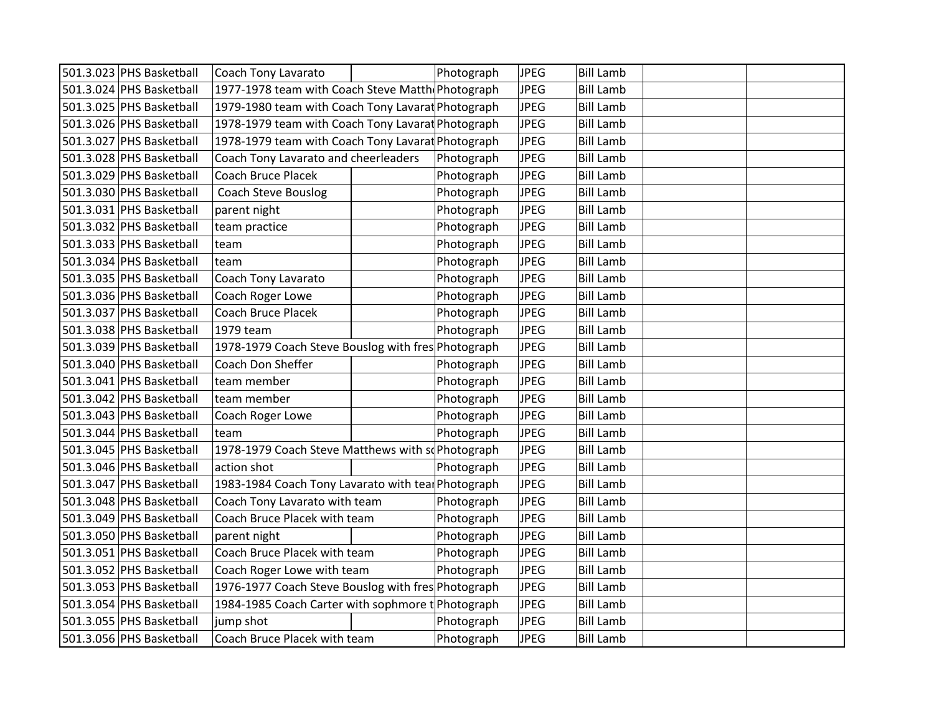| 501.3.023 PHS Basketball | Coach Tony Lavarato                                | Photograph | <b>JPEG</b> | <b>Bill Lamb</b> |  |
|--------------------------|----------------------------------------------------|------------|-------------|------------------|--|
| 501.3.024 PHS Basketball | 1977-1978 team with Coach Steve Matth Photograph   |            | <b>JPEG</b> | <b>Bill Lamb</b> |  |
| 501.3.025 PHS Basketball | 1979-1980 team with Coach Tony Lavarat Photograph  |            | <b>JPEG</b> | <b>Bill Lamb</b> |  |
| 501.3.026 PHS Basketball | 1978-1979 team with Coach Tony Lavarat Photograph  |            | <b>JPEG</b> | <b>Bill Lamb</b> |  |
| 501.3.027 PHS Basketball | 1978-1979 team with Coach Tony Lavarat Photograph  |            | <b>JPEG</b> | <b>Bill Lamb</b> |  |
| 501.3.028 PHS Basketball | Coach Tony Lavarato and cheerleaders               | Photograph | <b>JPEG</b> | <b>Bill Lamb</b> |  |
| 501.3.029 PHS Basketball | <b>Coach Bruce Placek</b>                          | Photograph | <b>JPEG</b> | <b>Bill Lamb</b> |  |
| 501.3.030 PHS Basketball | <b>Coach Steve Bouslog</b>                         | Photograph | <b>JPEG</b> | <b>Bill Lamb</b> |  |
| 501.3.031 PHS Basketball | parent night                                       | Photograph | <b>JPEG</b> | <b>Bill Lamb</b> |  |
| 501.3.032 PHS Basketball | team practice                                      | Photograph | <b>JPEG</b> | <b>Bill Lamb</b> |  |
| 501.3.033 PHS Basketball | team                                               | Photograph | <b>JPEG</b> | <b>Bill Lamb</b> |  |
| 501.3.034 PHS Basketball | team                                               | Photograph | <b>JPEG</b> | <b>Bill Lamb</b> |  |
| 501.3.035 PHS Basketball | Coach Tony Lavarato                                | Photograph | <b>JPEG</b> | <b>Bill Lamb</b> |  |
| 501.3.036 PHS Basketball | Coach Roger Lowe                                   | Photograph | <b>JPEG</b> | <b>Bill Lamb</b> |  |
| 501.3.037 PHS Basketball | Coach Bruce Placek                                 | Photograph | <b>JPEG</b> | <b>Bill Lamb</b> |  |
| 501.3.038 PHS Basketball | 1979 team                                          | Photograph | <b>JPEG</b> | <b>Bill Lamb</b> |  |
| 501.3.039 PHS Basketball | 1978-1979 Coach Steve Bouslog with fres Photograph |            | <b>JPEG</b> | <b>Bill Lamb</b> |  |
| 501.3.040 PHS Basketball | Coach Don Sheffer                                  | Photograph | <b>JPEG</b> | <b>Bill Lamb</b> |  |
| 501.3.041 PHS Basketball | team member                                        | Photograph | <b>JPEG</b> | <b>Bill Lamb</b> |  |
| 501.3.042 PHS Basketball | team member                                        | Photograph | <b>JPEG</b> | <b>Bill Lamb</b> |  |
| 501.3.043 PHS Basketball | Coach Roger Lowe                                   | Photograph | <b>JPEG</b> | <b>Bill Lamb</b> |  |
| 501.3.044 PHS Basketball | team                                               | Photograph | <b>JPEG</b> | <b>Bill Lamb</b> |  |
| 501.3.045 PHS Basketball | 1978-1979 Coach Steve Matthews with so Photograph  |            | <b>JPEG</b> | <b>Bill Lamb</b> |  |
| 501.3.046 PHS Basketball | action shot                                        | Photograph | <b>JPEG</b> | <b>Bill Lamb</b> |  |
| 501.3.047 PHS Basketball | 1983-1984 Coach Tony Lavarato with teal Photograph |            | <b>JPEG</b> | <b>Bill Lamb</b> |  |
| 501.3.048 PHS Basketball | Coach Tony Lavarato with team                      | Photograph | <b>JPEG</b> | <b>Bill Lamb</b> |  |
| 501.3.049 PHS Basketball | Coach Bruce Placek with team                       | Photograph | <b>JPEG</b> | <b>Bill Lamb</b> |  |
| 501.3.050 PHS Basketball | parent night                                       | Photograph | <b>JPEG</b> | <b>Bill Lamb</b> |  |
| 501.3.051 PHS Basketball | Coach Bruce Placek with team                       | Photograph | <b>JPEG</b> | <b>Bill Lamb</b> |  |
| 501.3.052 PHS Basketball | Coach Roger Lowe with team                         | Photograph | <b>JPEG</b> | <b>Bill Lamb</b> |  |
| 501.3.053 PHS Basketball | 1976-1977 Coach Steve Bouslog with fres Photograph |            | <b>JPEG</b> | <b>Bill Lamb</b> |  |
| 501.3.054 PHS Basketball | 1984-1985 Coach Carter with sophmore t Photograph  |            | <b>JPEG</b> | <b>Bill Lamb</b> |  |
| 501.3.055 PHS Basketball | jump shot                                          | Photograph | <b>JPEG</b> | <b>Bill Lamb</b> |  |
| 501.3.056 PHS Basketball | Coach Bruce Placek with team                       | Photograph | <b>JPEG</b> | <b>Bill Lamb</b> |  |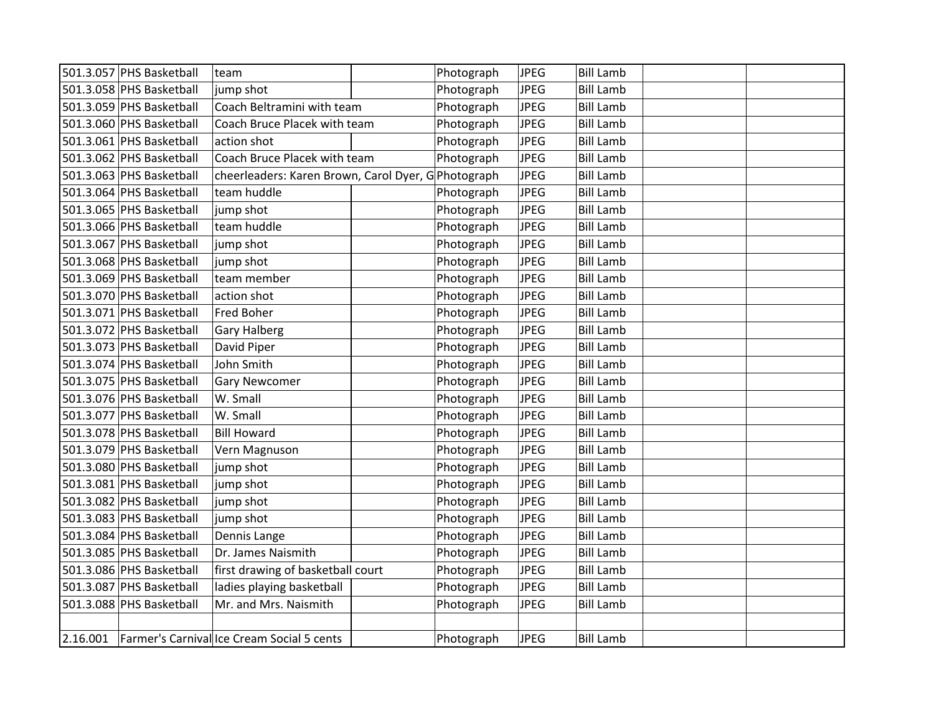| 501.3.057 PHS Basketball | team                                                | Photograph | <b>JPEG</b> | <b>Bill Lamb</b> |  |
|--------------------------|-----------------------------------------------------|------------|-------------|------------------|--|
| 501.3.058 PHS Basketball | jump shot                                           | Photograph | <b>JPEG</b> | <b>Bill Lamb</b> |  |
| 501.3.059 PHS Basketball | Coach Beltramini with team                          | Photograph | <b>JPEG</b> | <b>Bill Lamb</b> |  |
| 501.3.060 PHS Basketball | Coach Bruce Placek with team                        | Photograph | <b>JPEG</b> | <b>Bill Lamb</b> |  |
| 501.3.061 PHS Basketball | action shot                                         | Photograph | <b>JPEG</b> | <b>Bill Lamb</b> |  |
| 501.3.062 PHS Basketball | Coach Bruce Placek with team                        | Photograph | <b>JPEG</b> | <b>Bill Lamb</b> |  |
| 501.3.063 PHS Basketball | cheerleaders: Karen Brown, Carol Dyer, G Photograph |            | <b>JPEG</b> | <b>Bill Lamb</b> |  |
| 501.3.064 PHS Basketball | team huddle                                         | Photograph | <b>JPEG</b> | <b>Bill Lamb</b> |  |
| 501.3.065 PHS Basketball | jump shot                                           | Photograph | <b>JPEG</b> | <b>Bill Lamb</b> |  |
| 501.3.066 PHS Basketball | team huddle                                         | Photograph | <b>JPEG</b> | <b>Bill Lamb</b> |  |
| 501.3.067 PHS Basketball | jump shot                                           | Photograph | <b>JPEG</b> | <b>Bill Lamb</b> |  |
| 501.3.068 PHS Basketball | jump shot                                           | Photograph | <b>JPEG</b> | <b>Bill Lamb</b> |  |
| 501.3.069 PHS Basketball | team member                                         | Photograph | <b>JPEG</b> | <b>Bill Lamb</b> |  |
| 501.3.070 PHS Basketball | action shot                                         | Photograph | <b>JPEG</b> | <b>Bill Lamb</b> |  |
| 501.3.071 PHS Basketball | Fred Boher                                          | Photograph | <b>JPEG</b> | <b>Bill Lamb</b> |  |
| 501.3.072 PHS Basketball | <b>Gary Halberg</b>                                 | Photograph | <b>JPEG</b> | <b>Bill Lamb</b> |  |
| 501.3.073 PHS Basketball | David Piper                                         | Photograph | <b>JPEG</b> | <b>Bill Lamb</b> |  |
| 501.3.074 PHS Basketball | John Smith                                          | Photograph | <b>JPEG</b> | <b>Bill Lamb</b> |  |
| 501.3.075 PHS Basketball | <b>Gary Newcomer</b>                                | Photograph | <b>JPEG</b> | <b>Bill Lamb</b> |  |
| 501.3.076 PHS Basketball | W. Small                                            | Photograph | <b>JPEG</b> | <b>Bill Lamb</b> |  |
| 501.3.077 PHS Basketball | W. Small                                            | Photograph | <b>JPEG</b> | <b>Bill Lamb</b> |  |
| 501.3.078 PHS Basketball | <b>Bill Howard</b>                                  | Photograph | <b>JPEG</b> | <b>Bill Lamb</b> |  |
| 501.3.079 PHS Basketball | Vern Magnuson                                       | Photograph | <b>JPEG</b> | <b>Bill Lamb</b> |  |
| 501.3.080 PHS Basketball | jump shot                                           | Photograph | <b>JPEG</b> | <b>Bill Lamb</b> |  |
| 501.3.081 PHS Basketball | jump shot                                           | Photograph | <b>JPEG</b> | <b>Bill Lamb</b> |  |
| 501.3.082 PHS Basketball | jump shot                                           | Photograph | <b>JPEG</b> | <b>Bill Lamb</b> |  |
| 501.3.083 PHS Basketball | jump shot                                           | Photograph | <b>JPEG</b> | <b>Bill Lamb</b> |  |
| 501.3.084 PHS Basketball | Dennis Lange                                        | Photograph | <b>JPEG</b> | <b>Bill Lamb</b> |  |
| 501.3.085 PHS Basketball | Dr. James Naismith                                  | Photograph | <b>JPEG</b> | <b>Bill Lamb</b> |  |
| 501.3.086 PHS Basketball | first drawing of basketball court                   | Photograph | <b>JPEG</b> | <b>Bill Lamb</b> |  |
| 501.3.087 PHS Basketball | ladies playing basketball                           | Photograph | <b>JPEG</b> | <b>Bill Lamb</b> |  |
| 501.3.088 PHS Basketball | Mr. and Mrs. Naismith                               | Photograph | <b>JPEG</b> | <b>Bill Lamb</b> |  |
|                          |                                                     |            |             |                  |  |
|                          | 2.16.001 Farmer's Carnival Ice Cream Social 5 cents | Photograph | <b>JPEG</b> | <b>Bill Lamb</b> |  |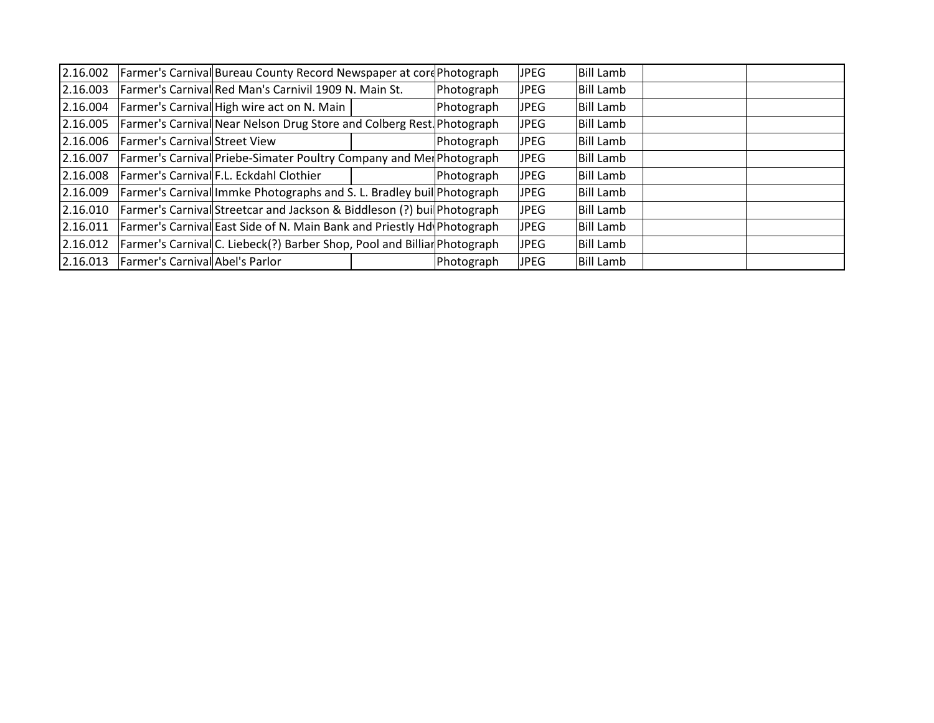| 2.16.002 |                                 | Farmer's Carnival Bureau County Record Newspaper at cord Photograph      |            | JPEG | <b>Bill Lamb</b> |  |
|----------|---------------------------------|--------------------------------------------------------------------------|------------|------|------------------|--|
| 2.16.003 |                                 | Farmer's Carnival Red Man's Carnivil 1909 N. Main St.                    | Photograph | JPEG | Bill Lamb        |  |
| 2.16.004 |                                 | Farmer's Carnival High wire act on N. Main                               | Photograph | JPEG | Bill Lamb        |  |
| 2.16.005 |                                 | Farmer's Carnival Near Nelson Drug Store and Colberg Rest Photograph     |            | JPEG | Bill Lamb        |  |
| 2.16.006 | Farmer's Carnival Street View   |                                                                          | Photograph | JPEG | Bill Lamb        |  |
| 2.16.007 |                                 | Farmer's Carnival Priebe-Simater Poultry Company and Mer Photograph      |            | JPEG | Bill Lamb        |  |
| 2.16.008 |                                 | Farmer's Carnival F.L. Eckdahl Clothier                                  | Photograph | JPEG | Bill Lamb        |  |
| 2.16.009 |                                 | Farmer's Carnival Immke Photographs and S. L. Bradley buil Photograph    |            | JPEG | <b>Bill Lamb</b> |  |
| 2.16.010 |                                 | Farmer's Carnival Streetcar and Jackson & Biddleson (?) buil Photograph  |            | JPEG | Bill Lamb        |  |
| 2.16.011 |                                 | Farmer's Carnival East Side of N. Main Bank and Priestly Hd Photograph   |            | JPEG | Bill Lamb        |  |
| 2.16.012 |                                 | Farmer's Carnival C. Liebeck(?) Barber Shop, Pool and Billiar Photograph |            | JPEG | Bill Lamb        |  |
| 2.16.013 | Farmer's Carnival Abel's Parlor |                                                                          | Photograph | JPEG | Bill Lamb        |  |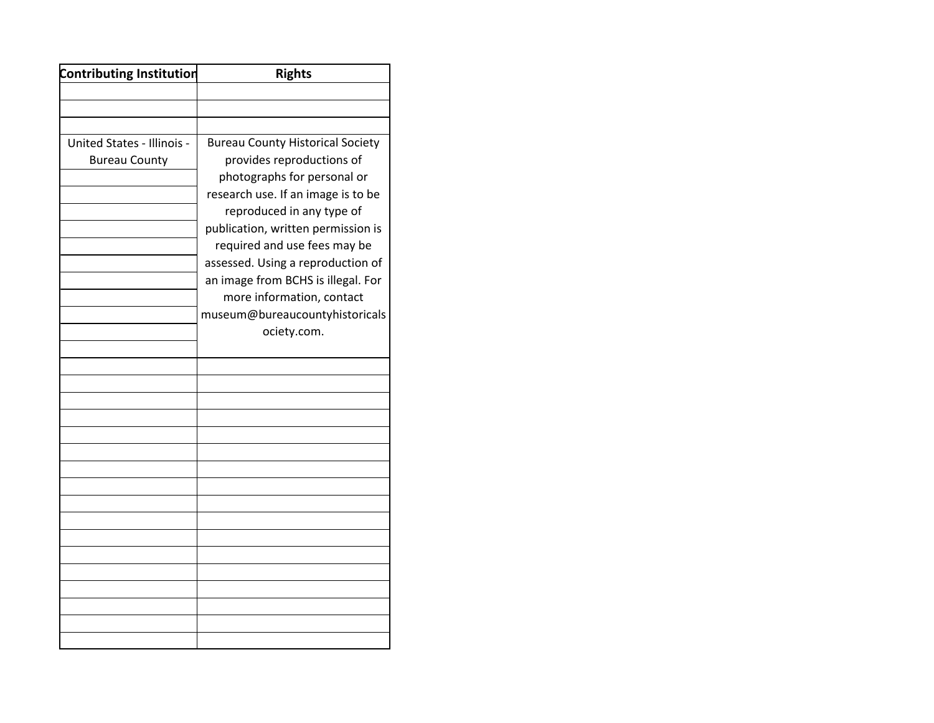| <b>Contributing Institution</b>                           | <b>Rights</b>                                                                                                                                                                                                                                                                                                           |
|-----------------------------------------------------------|-------------------------------------------------------------------------------------------------------------------------------------------------------------------------------------------------------------------------------------------------------------------------------------------------------------------------|
|                                                           |                                                                                                                                                                                                                                                                                                                         |
|                                                           |                                                                                                                                                                                                                                                                                                                         |
|                                                           |                                                                                                                                                                                                                                                                                                                         |
| <b>United States - Illinois -</b><br><b>Bureau County</b> | <b>Bureau County Historical Society</b><br>provides reproductions of<br>photographs for personal or<br>research use. If an image is to be<br>reproduced in any type of<br>publication, written permission is<br>required and use fees may be<br>assessed. Using a reproduction of<br>an image from BCHS is illegal. For |
|                                                           | more information, contact<br>museum@bureaucountyhistoricals<br>ociety.com.                                                                                                                                                                                                                                              |
|                                                           |                                                                                                                                                                                                                                                                                                                         |
|                                                           |                                                                                                                                                                                                                                                                                                                         |
|                                                           |                                                                                                                                                                                                                                                                                                                         |
|                                                           |                                                                                                                                                                                                                                                                                                                         |
|                                                           |                                                                                                                                                                                                                                                                                                                         |
|                                                           |                                                                                                                                                                                                                                                                                                                         |
|                                                           |                                                                                                                                                                                                                                                                                                                         |
|                                                           |                                                                                                                                                                                                                                                                                                                         |
|                                                           |                                                                                                                                                                                                                                                                                                                         |
|                                                           |                                                                                                                                                                                                                                                                                                                         |
|                                                           |                                                                                                                                                                                                                                                                                                                         |
|                                                           |                                                                                                                                                                                                                                                                                                                         |
|                                                           |                                                                                                                                                                                                                                                                                                                         |
|                                                           |                                                                                                                                                                                                                                                                                                                         |
|                                                           |                                                                                                                                                                                                                                                                                                                         |